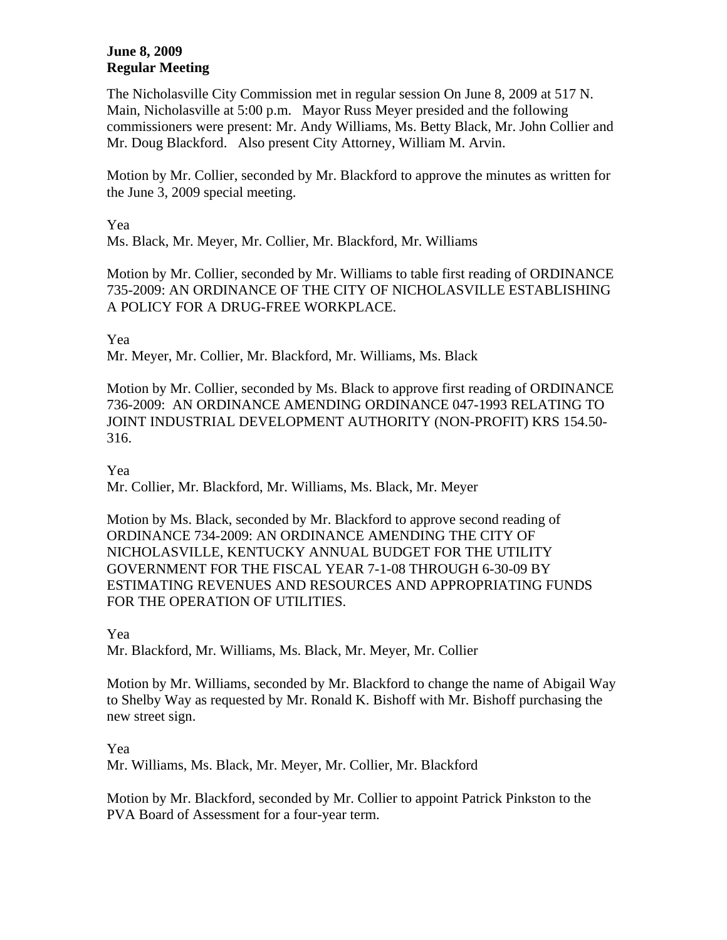# **June 8, 2009 Regular Meeting**

The Nicholasville City Commission met in regular session On June 8, 2009 at 517 N. Main, Nicholasville at 5:00 p.m. Mayor Russ Meyer presided and the following commissioners were present: Mr. Andy Williams, Ms. Betty Black, Mr. John Collier and Mr. Doug Blackford. Also present City Attorney, William M. Arvin.

Motion by Mr. Collier, seconded by Mr. Blackford to approve the minutes as written for the June 3, 2009 special meeting.

#### Yea

Ms. Black, Mr. Meyer, Mr. Collier, Mr. Blackford, Mr. Williams

Motion by Mr. Collier, seconded by Mr. Williams to table first reading of ORDINANCE 735-2009: AN ORDINANCE OF THE CITY OF NICHOLASVILLE ESTABLISHING A POLICY FOR A DRUG-FREE WORKPLACE.

Yea

Mr. Meyer, Mr. Collier, Mr. Blackford, Mr. Williams, Ms. Black

Motion by Mr. Collier, seconded by Ms. Black to approve first reading of ORDINANCE 736-2009: AN ORDINANCE AMENDING ORDINANCE 047-1993 RELATING TO JOINT INDUSTRIAL DEVELOPMENT AUTHORITY (NON-PROFIT) KRS 154.50- 316.

# Yea

Mr. Collier, Mr. Blackford, Mr. Williams, Ms. Black, Mr. Meyer

Motion by Ms. Black, seconded by Mr. Blackford to approve second reading of ORDINANCE 734-2009: AN ORDINANCE AMENDING THE CITY OF NICHOLASVILLE, KENTUCKY ANNUAL BUDGET FOR THE UTILITY GOVERNMENT FOR THE FISCAL YEAR 7-1-08 THROUGH 6-30-09 BY ESTIMATING REVENUES AND RESOURCES AND APPROPRIATING FUNDS FOR THE OPERATION OF UTILITIES.

#### Yea

Mr. Blackford, Mr. Williams, Ms. Black, Mr. Meyer, Mr. Collier

Motion by Mr. Williams, seconded by Mr. Blackford to change the name of Abigail Way to Shelby Way as requested by Mr. Ronald K. Bishoff with Mr. Bishoff purchasing the new street sign.

#### Yea

Mr. Williams, Ms. Black, Mr. Meyer, Mr. Collier, Mr. Blackford

Motion by Mr. Blackford, seconded by Mr. Collier to appoint Patrick Pinkston to the PVA Board of Assessment for a four-year term.